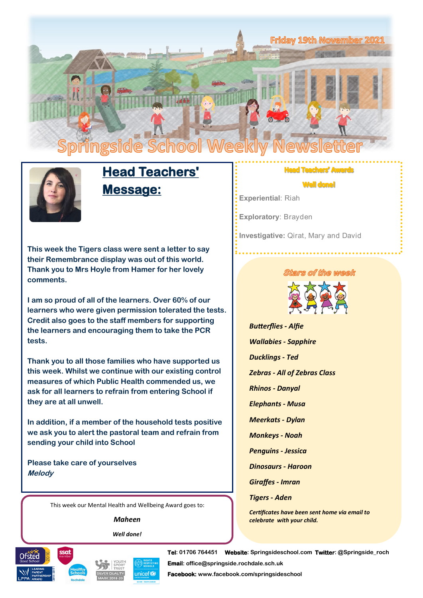



# **Head Teachers' Message:**

**This week the Tigers class were sent a letter to say their Remembrance display was out of this world. Thank you to Mrs Hoyle from Hamer for her lovely comments.**

**I am so proud of all of the learners. Over 60% of our learners who were given permission tolerated the tests. Credit also goes to the staff members for supporting the learners and encouraging them to take the PCR tests.**

**Thank you to all those families who have supported us this week. Whilst we continue with our existing control measures of which Public Health commended us, we ask for all learners to refrain from entering School if they are at all unwell.**

**In addition, if a member of the household tests positive we ask you to alert the pastoral team and refrain from sending your child into School**

**Please take care of yourselves Melody**

This week our Mental Health and Wellbeing Award goes to:

*Maheen*

*Well done!*







**Tel: 01706 764451 Website: Springsideschool.com Twitter: @Springside\_roch Email: office@springside.rochdale.sch.uk** 

**Facebook: www.facebook.com/springsideschool** 

### achers' Awards

**Well done!** 

**Experiential**: Riah

**Exploratory**: Brayden

**Investigative:** Qirat, Mary and David

#### tars of the week



*Butterflies - Alfie Wallabies - Sapphire Ducklings - Ted*

*Zebras - All of Zebras Class*

*Rhinos - Danyal*

*Elephants - Musa*

*Meerkats - Dylan*

*Monkeys - Noah* 

*Penguins - Jessica*

*Dinosaurs - Haroon*

*Giraffes - Imran*

*Tigers - Aden*

*Certificates have been sent home via email to celebrate with your child.*